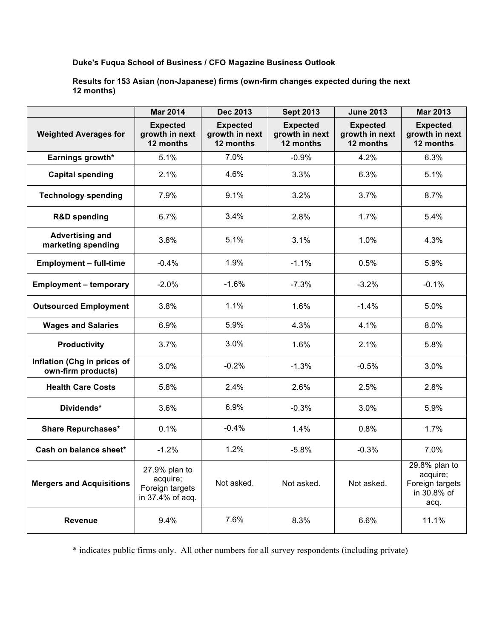## **Duke's Fuqua School of Business / CFO Magazine Business Outlook**

**Results for 153 Asian (non-Japanese) firms (own-firm changes expected during the next 12 months)**

|                                                   | <b>Mar 2014</b>                                                  | <b>Dec 2013</b>                                | <b>Sept 2013</b>                               | <b>June 2013</b>                               | <b>Mar 2013</b>                                                       |
|---------------------------------------------------|------------------------------------------------------------------|------------------------------------------------|------------------------------------------------|------------------------------------------------|-----------------------------------------------------------------------|
| <b>Weighted Averages for</b>                      | <b>Expected</b><br>growth in next<br>12 months                   | <b>Expected</b><br>growth in next<br>12 months | <b>Expected</b><br>growth in next<br>12 months | <b>Expected</b><br>growth in next<br>12 months | <b>Expected</b><br>growth in next<br>12 months                        |
| Earnings growth*                                  | 5.1%                                                             | 7.0%                                           | $-0.9%$                                        | 4.2%                                           | 6.3%                                                                  |
| <b>Capital spending</b>                           | 2.1%                                                             | 4.6%                                           | 3.3%                                           | 6.3%                                           | 5.1%                                                                  |
| <b>Technology spending</b>                        | 7.9%                                                             | 9.1%                                           | 3.2%                                           | 3.7%                                           | 8.7%                                                                  |
| <b>R&amp;D spending</b>                           | 6.7%                                                             | 3.4%                                           | 2.8%                                           | 1.7%                                           | 5.4%                                                                  |
| <b>Advertising and</b><br>marketing spending      | 3.8%                                                             | 5.1%                                           | 3.1%                                           | 1.0%                                           | 4.3%                                                                  |
| <b>Employment - full-time</b>                     | $-0.4%$                                                          | 1.9%                                           | $-1.1%$                                        | 0.5%                                           | 5.9%                                                                  |
| <b>Employment - temporary</b>                     | $-2.0%$                                                          | $-1.6%$                                        | $-7.3%$                                        | $-3.2%$                                        | $-0.1%$                                                               |
| <b>Outsourced Employment</b>                      | 3.8%                                                             | 1.1%                                           | 1.6%                                           | $-1.4%$                                        | 5.0%                                                                  |
| <b>Wages and Salaries</b>                         | 6.9%                                                             | 5.9%                                           | 4.3%                                           | 4.1%                                           | 8.0%                                                                  |
| <b>Productivity</b>                               | 3.7%                                                             | 3.0%                                           | 1.6%                                           | 2.1%                                           | 5.8%                                                                  |
| Inflation (Chg in prices of<br>own-firm products) | 3.0%                                                             | $-0.2%$                                        | $-1.3%$                                        | $-0.5%$                                        | 3.0%                                                                  |
| <b>Health Care Costs</b>                          | 5.8%                                                             | 2.4%                                           | 2.6%                                           | 2.5%                                           | 2.8%                                                                  |
| Dividends*                                        | 3.6%                                                             | 6.9%                                           | $-0.3%$                                        | 3.0%                                           | 5.9%                                                                  |
| <b>Share Repurchases*</b>                         | 0.1%                                                             | $-0.4%$                                        | 1.4%                                           | 0.8%                                           | 1.7%                                                                  |
| Cash on balance sheet*                            | $-1.2%$                                                          | 1.2%                                           | $-5.8%$                                        | $-0.3%$                                        | 7.0%                                                                  |
| <b>Mergers and Acquisitions</b>                   | 27.9% plan to<br>acquire;<br>Foreign targets<br>in 37.4% of acq. | Not asked.                                     | Not asked.                                     | Not asked.                                     | $29.8%$ plan to<br>acquire;<br>Foreign targets<br>in 30.8% of<br>acq. |
| <b>Revenue</b>                                    | 9.4%                                                             | 7.6%                                           | 8.3%                                           | 6.6%                                           | 11.1%                                                                 |

\* indicates public firms only. All other numbers for all survey respondents (including private)